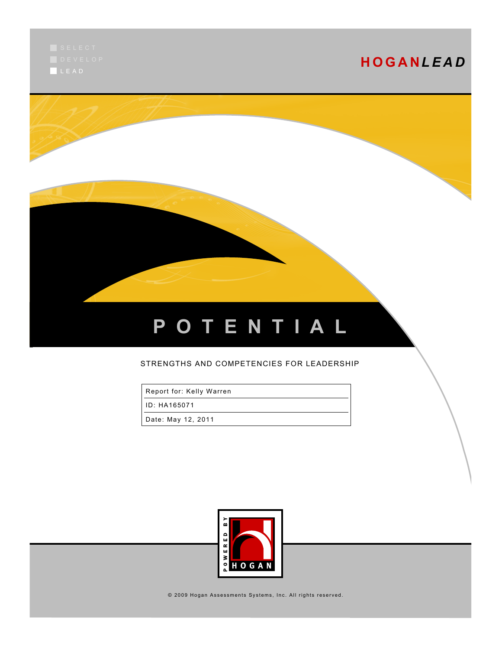

### STRENGTHS AND COMPETENCIES FOR LEADERSHIP

Report for: Kelly Warren

ID: HA165071

Date: May 12, 2011



© 2009 Hogan Assessments Systems, Inc. All rights reserved.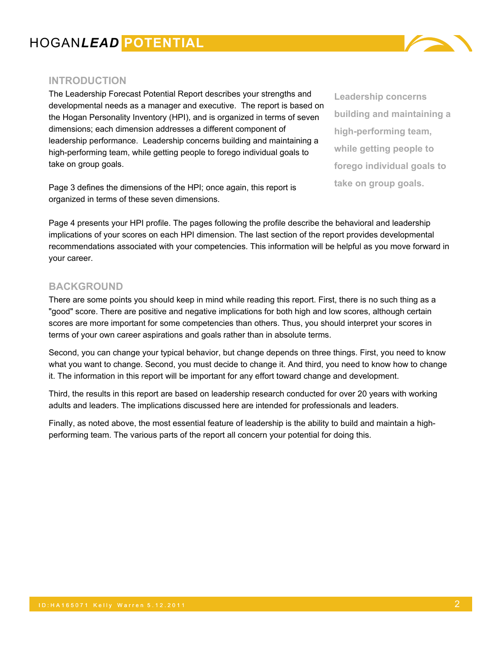# **INTRODUCTION**

The Leadership Forecast Potential Report describes your strengths and developmental needs as a manager and executive. The report is based on the Hogan Personality Inventory (HPI), and is organized in terms of seven dimensions; each dimension addresses a different component of leadership performance. Leadership concerns building and maintaining a high-performing team, while getting people to forego individual goals to take on group goals.

Page 3 defines the dimensions of the HPI; once again, this report is organized in terms of these seven dimensions.

**Leadership concerns building and maintaining a high-performing team, while getting people to forego individual goals to take on group goals.**

Page 4 presents your HPI profile. The pages following the profile describe the behavioral and leadership implications of your scores on each HPI dimension. The last section of the report provides developmental recommendations associated with your competencies. This information will be helpful as you move forward in your career.

# **BACKGROUND**

There are some points you should keep in mind while reading this report. First, there is no such thing as a "good" score. There are positive and negative implications for both high and low scores, although certain scores are more important for some competencies than others. Thus, you should interpret your scores in terms of your own career aspirations and goals rather than in absolute terms.

Second, you can change your typical behavior, but change depends on three things. First, you need to know what you want to change. Second, you must decide to change it. And third, you need to know how to change it. The information in this report will be important for any effort toward change and development.

Third, the results in this report are based on leadership research conducted for over 20 years with working adults and leaders. The implications discussed here are intended for professionals and leaders.

Finally, as noted above, the most essential feature of leadership is the ability to build and maintain a highperforming team. The various parts of the report all concern your potential for doing this.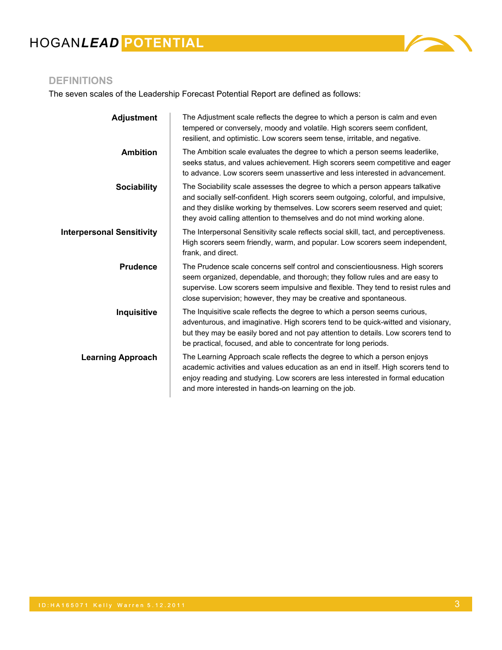

# **DEFINITIONS**

The seven scales of the Leadership Forecast Potential Report are defined as follows:

| <b>Adjustment</b>                | The Adjustment scale reflects the degree to which a person is calm and even<br>tempered or conversely, moody and volatile. High scorers seem confident,<br>resilient, and optimistic. Low scorers seem tense, irritable, and negative.                                                                                          |
|----------------------------------|---------------------------------------------------------------------------------------------------------------------------------------------------------------------------------------------------------------------------------------------------------------------------------------------------------------------------------|
| <b>Ambition</b>                  | The Ambition scale evaluates the degree to which a person seems leaderlike,<br>seeks status, and values achievement. High scorers seem competitive and eager<br>to advance. Low scorers seem unassertive and less interested in advancement.                                                                                    |
| <b>Sociability</b>               | The Sociability scale assesses the degree to which a person appears talkative<br>and socially self-confident. High scorers seem outgoing, colorful, and impulsive,<br>and they dislike working by themselves. Low scorers seem reserved and quiet;<br>they avoid calling attention to themselves and do not mind working alone. |
| <b>Interpersonal Sensitivity</b> | The Interpersonal Sensitivity scale reflects social skill, tact, and perceptiveness.<br>High scorers seem friendly, warm, and popular. Low scorers seem independent,<br>frank, and direct.                                                                                                                                      |
| <b>Prudence</b>                  | The Prudence scale concerns self control and conscientiousness. High scorers<br>seem organized, dependable, and thorough; they follow rules and are easy to<br>supervise. Low scorers seem impulsive and flexible. They tend to resist rules and<br>close supervision; however, they may be creative and spontaneous.           |
| Inquisitive                      | The Inquisitive scale reflects the degree to which a person seems curious,<br>adventurous, and imaginative. High scorers tend to be quick-witted and visionary,<br>but they may be easily bored and not pay attention to details. Low scorers tend to<br>be practical, focused, and able to concentrate for long periods.       |
| <b>Learning Approach</b>         | The Learning Approach scale reflects the degree to which a person enjoys<br>academic activities and values education as an end in itself. High scorers tend to<br>enjoy reading and studying. Low scorers are less interested in formal education<br>and more interested in hands-on learning on the job.                       |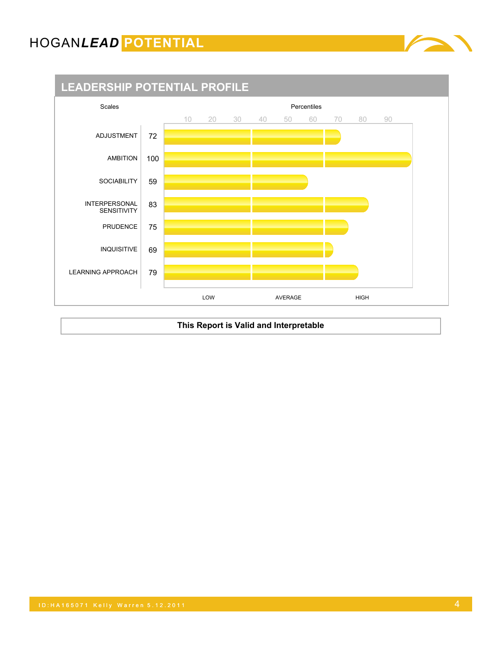

# **This Report is Valid and Interpretable**

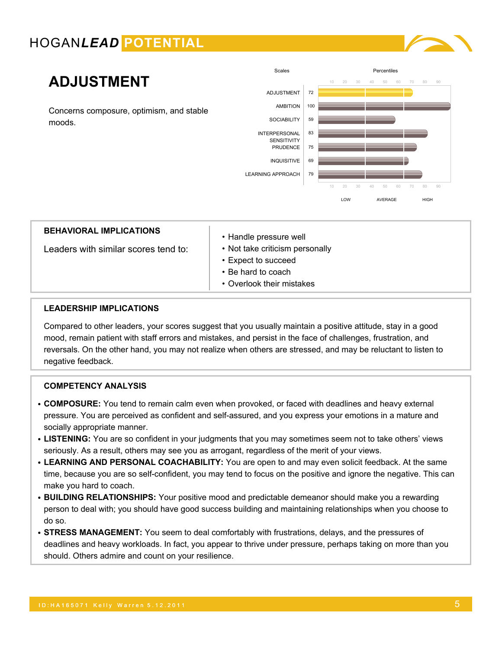

# **ADJUSTMENT**

Concerns composure, optimism, and stable moods.



### **BEHAVIORAL IMPLICATIONS** Leaders with similar scores tend to: • Handle pressure well • Not take criticism personally • Expect to succeed • Be hard to coach • Overlook their mistakes

### **LEADERSHIP IMPLICATIONS**

Compared to other leaders, your scores suggest that you usually maintain a positive attitude, stay in a good mood, remain patient with staff errors and mistakes, and persist in the face of challenges, frustration, and reversals. On the other hand, you may not realize when others are stressed, and may be reluctant to listen to negative feedback.

- **COMPOSURE:** You tend to remain calm even when provoked, or faced with deadlines and heavy external pressure. You are perceived as confident and self-assured, and you express your emotions in a mature and socially appropriate manner.
- **LISTENING:** You are so confident in your judgments that you may sometimes seem not to take others' views seriously. As a result, others may see you as arrogant, regardless of the merit of your views.
- **LEARNING AND PERSONAL COACHABILITY:** You are open to and may even solicit feedback. At the same time, because you are so self-confident, you may tend to focus on the positive and ignore the negative. This can make you hard to coach.
- **BUILDING RELATIONSHIPS:** Your positive mood and predictable demeanor should make you a rewarding person to deal with; you should have good success building and maintaining relationships when you choose to do so.
- **STRESS MANAGEMENT:** You seem to deal comfortably with frustrations, delays, and the pressures of deadlines and heavy workloads. In fact, you appear to thrive under pressure, perhaps taking on more than you should. Others admire and count on your resilience.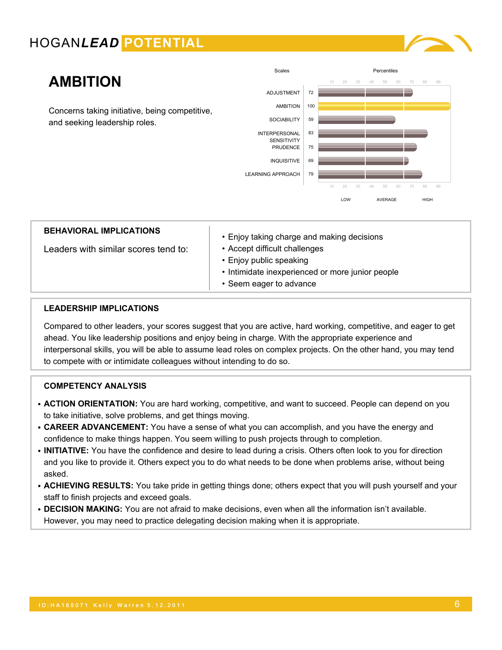

# **AMBITION**

Concerns taking initiative, being competitive, and seeking leadership roles.



#### **BEHAVIORAL IMPLICATIONS** Leaders with similar scores tend to: • Enjoy taking charge and making decisions • Accept difficult challenges • Enjoy public speaking • Intimidate inexperienced or more junior people • Seem eager to advance

### **LEADERSHIP IMPLICATIONS**

Compared to other leaders, your scores suggest that you are active, hard working, competitive, and eager to get ahead. You like leadership positions and enjoy being in charge. With the appropriate experience and interpersonal skills, you will be able to assume lead roles on complex projects. On the other hand, you may tend to compete with or intimidate colleagues without intending to do so.

- **ACTION ORIENTATION:** You are hard working, competitive, and want to succeed. People can depend on you to take initiative, solve problems, and get things moving.
- **CAREER ADVANCEMENT:** You have a sense of what you can accomplish, and you have the energy and confidence to make things happen. You seem willing to push projects through to completion.
- **INITIATIVE:** You have the confidence and desire to lead during a crisis. Others often look to you for direction and you like to provide it. Others expect you to do what needs to be done when problems arise, without being asked.
- **ACHIEVING RESULTS:** You take pride in getting things done; others expect that you will push yourself and your staff to finish projects and exceed goals.
- **DECISION MAKING:** You are not afraid to make decisions, even when all the information isn't available. However, you may need to practice delegating decision making when it is appropriate.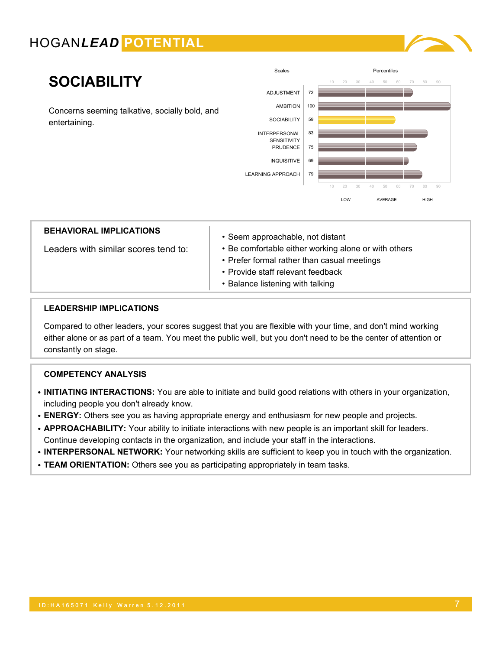

# **SOCIABILITY**

Concerns seeming talkative, socially bold, and entertaining.



#### **BEHAVIORAL IMPLICATIONS** Leaders with similar scores tend to: • Seem approachable, not distant • Be comfortable either working alone or with others • Prefer formal rather than casual meetings • Provide staff relevant feedback • Balance listening with talking

### **LEADERSHIP IMPLICATIONS**

Compared to other leaders, your scores suggest that you are flexible with your time, and don't mind working either alone or as part of a team. You meet the public well, but you don't need to be the center of attention or constantly on stage.

- **INITIATING INTERACTIONS:** You are able to initiate and build good relations with others in your organization, including people you don't already know.
- **ENERGY:** Others see you as having appropriate energy and enthusiasm for new people and projects.
- **APPROACHABILITY:** Your ability to initiate interactions with new people is an important skill for leaders. Continue developing contacts in the organization, and include your staff in the interactions.
- **INTERPERSONAL NETWORK:** Your networking skills are sufficient to keep you in touch with the organization.
- **TEAM ORIENTATION:** Others see you as participating appropriately in team tasks.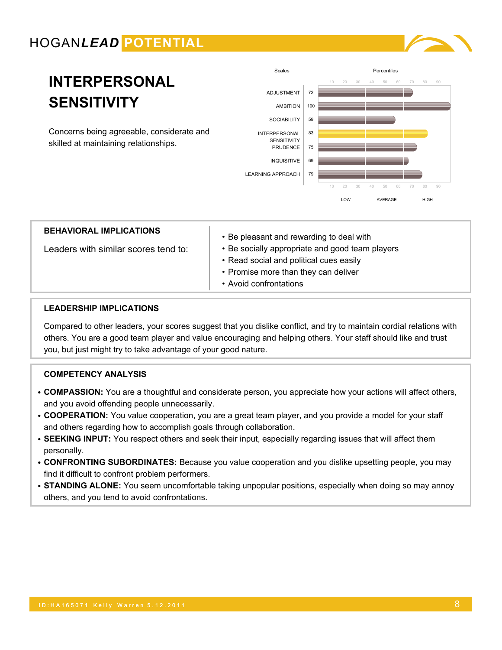

# **INTERPERSONAL SENSITIVITY**

Concerns being agreeable, considerate and skilled at maintaining relationships.



# **BEHAVIORAL IMPLICATIONS**

Leaders with similar scores tend to:

- Be pleasant and rewarding to deal with
- Be socially appropriate and good team players
- Read social and political cues easily
- Promise more than they can deliver
- Avoid confrontations

# **LEADERSHIP IMPLICATIONS**

Compared to other leaders, your scores suggest that you dislike conflict, and try to maintain cordial relations with others. You are a good team player and value encouraging and helping others. Your staff should like and trust you, but just might try to take advantage of your good nature.

- **COMPASSION:** You are a thoughtful and considerate person, you appreciate how your actions will affect others, and you avoid offending people unnecessarily.
- **COOPERATION:** You value cooperation, you are a great team player, and you provide a model for your staff and others regarding how to accomplish goals through collaboration.
- **SEEKING INPUT:** You respect others and seek their input, especially regarding issues that will affect them personally.
- **CONFRONTING SUBORDINATES:** Because you value cooperation and you dislike upsetting people, you may find it difficult to confront problem performers.
- **STANDING ALONE:** You seem uncomfortable taking unpopular positions, especially when doing so may annoy others, and you tend to avoid confrontations.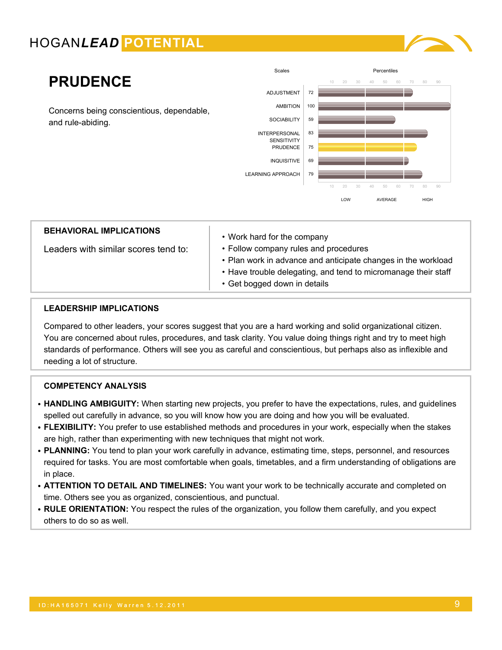

# **PRUDENCE**

Concerns being conscientious, dependable, and rule-abiding.



### **BEHAVIORAL IMPLICATIONS** Leaders with similar scores tend to: • Work hard for the company • Follow company rules and procedures • Plan work in advance and anticipate changes in the workload • Have trouble delegating, and tend to micromanage their staff • Get bogged down in details

# **LEADERSHIP IMPLICATIONS**

Compared to other leaders, your scores suggest that you are a hard working and solid organizational citizen. You are concerned about rules, procedures, and task clarity. You value doing things right and try to meet high standards of performance. Others will see you as careful and conscientious, but perhaps also as inflexible and needing a lot of structure.

- **HANDLING AMBIGUITY:** When starting new projects, you prefer to have the expectations, rules, and guidelines spelled out carefully in advance, so you will know how you are doing and how you will be evaluated.
- **FLEXIBILITY:** You prefer to use established methods and procedures in your work, especially when the stakes are high, rather than experimenting with new techniques that might not work.
- **PLANNING:** You tend to plan your work carefully in advance, estimating time, steps, personnel, and resources required for tasks. You are most comfortable when goals, timetables, and a firm understanding of obligations are in place.
- **ATTENTION TO DETAIL AND TIMELINES:** You want your work to be technically accurate and completed on time. Others see you as organized, conscientious, and punctual.
- **RULE ORIENTATION:** You respect the rules of the organization, you follow them carefully, and you expect others to do so as well.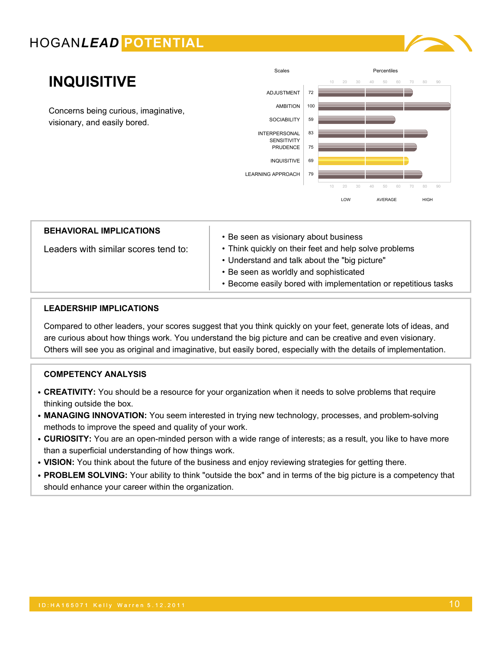

# **INQUISITIVE**

Concerns being curious, imaginative, visionary, and easily bored.



# **BEHAVIORAL IMPLICATIONS** Leaders with similar scores tend to: • Be seen as visionary about business • Think quickly on their feet and help solve problems • Understand and talk about the "big picture" • Be seen as worldly and sophisticated • Become easily bored with implementation or repetitious tasks

# **LEADERSHIP IMPLICATIONS**

Compared to other leaders, your scores suggest that you think quickly on your feet, generate lots of ideas, and are curious about how things work. You understand the big picture and can be creative and even visionary. Others will see you as original and imaginative, but easily bored, especially with the details of implementation.

- **CREATIVITY:** You should be a resource for your organization when it needs to solve problems that require thinking outside the box.
- **MANAGING INNOVATION:** You seem interested in trying new technology, processes, and problem-solving methods to improve the speed and quality of your work.
- **CURIOSITY:** You are an open-minded person with a wide range of interests; as a result, you like to have more than a superficial understanding of how things work.
- **VISION:** You think about the future of the business and enjoy reviewing strategies for getting there.
- **PROBLEM SOLVING:** Your ability to think "outside the box" and in terms of the big picture is a competency that should enhance your career within the organization.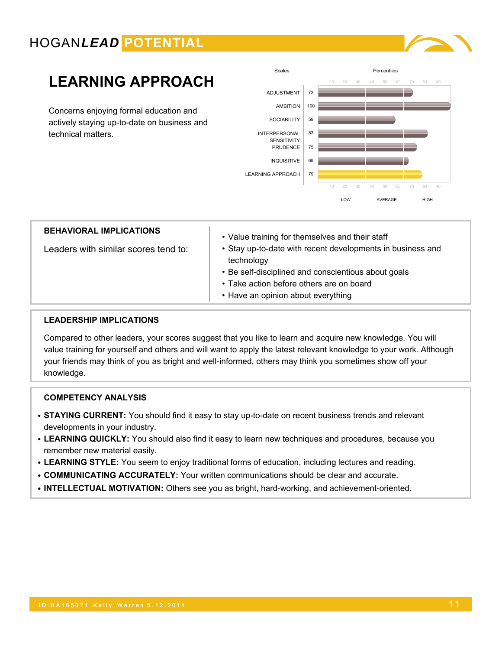

# **LEARNING APPROACH**

Concerns enjoying formal education and actively staying up-to-date on business and technical matters.



| <b>BEHAVIORAL IMPLICATIONS</b>       | • Value training for themselves and their staff                                                                                                                                                                   |
|--------------------------------------|-------------------------------------------------------------------------------------------------------------------------------------------------------------------------------------------------------------------|
| Leaders with similar scores tend to: | • Stay up-to-date with recent developments in business and<br>technology<br>• Be self-disciplined and conscientious about goals<br>• Take action before others are on board<br>• Have an opinion about everything |
|                                      |                                                                                                                                                                                                                   |

### **LEADERSHIP IMPLICATIONS**

Compared to other leaders, your scores suggest that you like to learn and acquire new knowledge. You will value training for yourself and others and will want to apply the latest relevant knowledge to your work. Although your friends may think of you as bright and well-informed, others may think you sometimes show off your knowledge.

- **STAYING CURRENT:** You should find it easy to stay up-to-date on recent business trends and relevant developments in your industry.
- **LEARNING QUICKLY:** You should also find it easy to learn new techniques and procedures, because you remember new material easily.
- **LEARNING STYLE:** You seem to enjoy traditional forms of education, including lectures and reading.
- **COMMUNICATING ACCURATELY:** Your written communications should be clear and accurate.
- **INTELLECTUAL MOTIVATION:** Others see you as bright, hard-working, and achievement-oriented.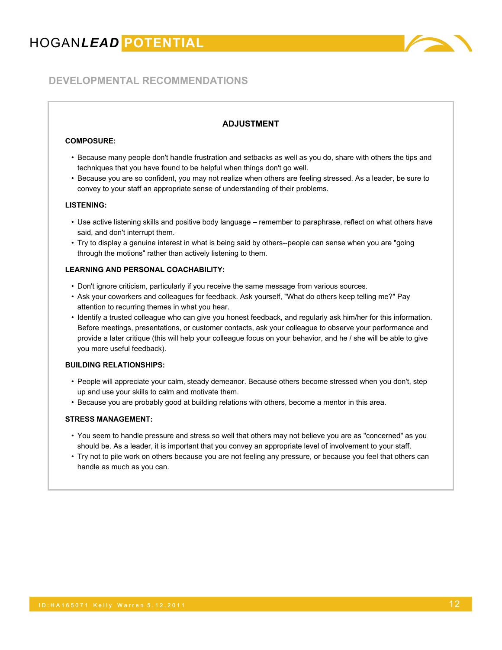

# **DEVELOPMENTAL RECOMMENDATIONS**

# **ADJUSTMENT**

#### **COMPOSURE:**

- Because many people don't handle frustration and setbacks as well as you do, share with others the tips and techniques that you have found to be helpful when things don't go well.
- Because you are so confident, you may not realize when others are feeling stressed. As a leader, be sure to convey to your staff an appropriate sense of understanding of their problems.

#### **LISTENING:**

- Use active listening skills and positive body language remember to paraphrase, reflect on what others have said, and don't interrupt them.
- Try to display a genuine interest in what is being said by others--people can sense when you are "going through the motions" rather than actively listening to them.

#### **LEARNING AND PERSONAL COACHABILITY:**

- Don't ignore criticism, particularly if you receive the same message from various sources.
- Ask your coworkers and colleagues for feedback. Ask yourself, "What do others keep telling me?" Pay attention to recurring themes in what you hear.
- Identify a trusted colleague who can give you honest feedback, and regularly ask him/her for this information. Before meetings, presentations, or customer contacts, ask your colleague to observe your performance and provide a later critique (this will help your colleague focus on your behavior, and he / she will be able to give you more useful feedback).

#### **BUILDING RELATIONSHIPS:**

- People will appreciate your calm, steady demeanor. Because others become stressed when you don't, step up and use your skills to calm and motivate them.
- Because you are probably good at building relations with others, become a mentor in this area.

#### **STRESS MANAGEMENT:**

- You seem to handle pressure and stress so well that others may not believe you are as "concerned" as you should be. As a leader, it is important that you convey an appropriate level of involvement to your staff.
- Try not to pile work on others because you are not feeling any pressure, or because you feel that others can handle as much as you can.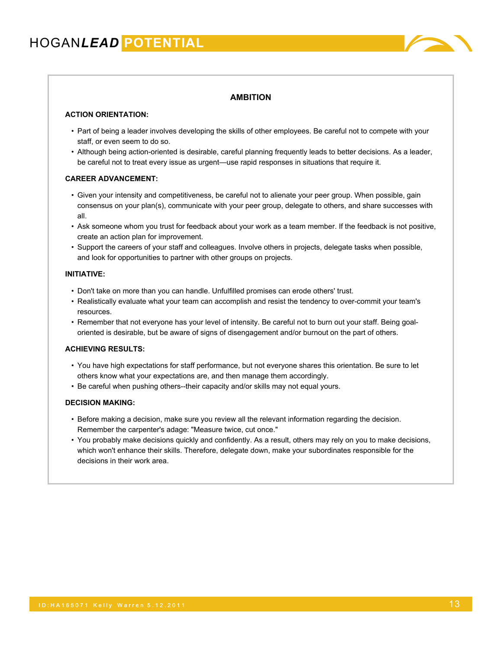

# **AMBITION**

#### **ACTION ORIENTATION:**

- Part of being a leader involves developing the skills of other employees. Be careful not to compete with your staff, or even seem to do so.
- Although being action-oriented is desirable, careful planning frequently leads to better decisions. As a leader, be careful not to treat every issue as urgent—use rapid responses in situations that require it.

#### **CAREER ADVANCEMENT:**

- Given your intensity and competitiveness, be careful not to alienate your peer group. When possible, gain consensus on your plan(s), communicate with your peer group, delegate to others, and share successes with all.
- Ask someone whom you trust for feedback about your work as a team member. If the feedback is not positive, create an action plan for improvement.
- Support the careers of your staff and colleagues. Involve others in projects, delegate tasks when possible, and look for opportunities to partner with other groups on projects.

#### **INITIATIVE:**

- Don't take on more than you can handle. Unfulfilled promises can erode others' trust.
- Realistically evaluate what your team can accomplish and resist the tendency to over-commit your team's resources.
- Remember that not everyone has your level of intensity. Be careful not to burn out your staff. Being goaloriented is desirable, but be aware of signs of disengagement and/or burnout on the part of others.

#### **ACHIEVING RESULTS:**

- You have high expectations for staff performance, but not everyone shares this orientation. Be sure to let others know what your expectations are, and then manage them accordingly.
- Be careful when pushing others--their capacity and/or skills may not equal yours.

#### **DECISION MAKING:**

- Before making a decision, make sure you review all the relevant information regarding the decision. Remember the carpenter's adage: "Measure twice, cut once."
- You probably make decisions quickly and confidently. As a result, others may rely on you to make decisions, which won't enhance their skills. Therefore, delegate down, make your subordinates responsible for the decisions in their work area.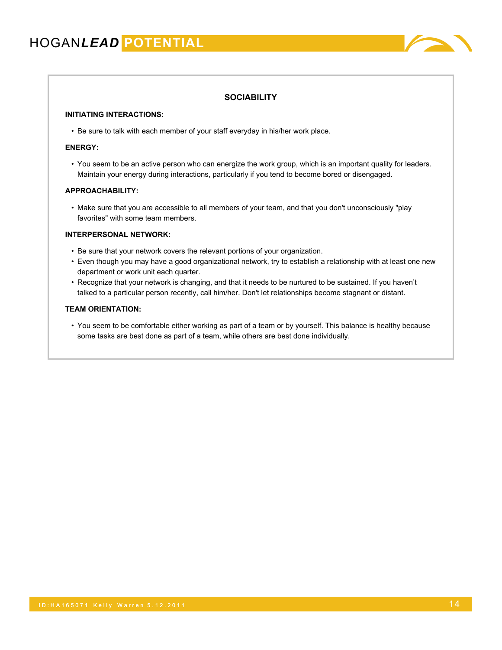

# **SOCIABILITY**

### **INITIATING INTERACTIONS:**

• Be sure to talk with each member of your staff everyday in his/her work place.

#### **ENERGY:**

• You seem to be an active person who can energize the work group, which is an important quality for leaders. Maintain your energy during interactions, particularly if you tend to become bored or disengaged.

#### **APPROACHABILITY:**

• Make sure that you are accessible to all members of your team, and that you don't unconsciously "play favorites" with some team members.

#### **INTERPERSONAL NETWORK:**

- Be sure that your network covers the relevant portions of your organization.
- Even though you may have a good organizational network, try to establish a relationship with at least one new department or work unit each quarter.
- Recognize that your network is changing, and that it needs to be nurtured to be sustained. If you haven't talked to a particular person recently, call him/her. Don't let relationships become stagnant or distant.

#### **TEAM ORIENTATION:**

• You seem to be comfortable either working as part of a team or by yourself. This balance is healthy because some tasks are best done as part of a team, while others are best done individually.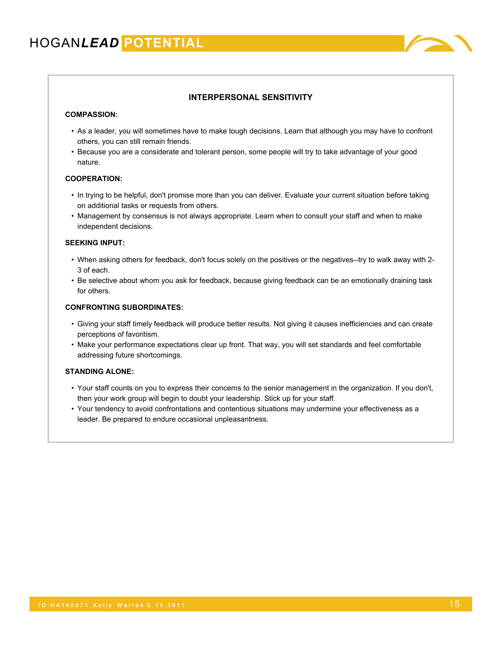

# **INTERPERSONAL SENSITIVITY**

#### **COMPASSION:**

- As a leader, you will sometimes have to make tough decisions. Learn that although you may have to confront others, you can still remain friends.
- Because you are a considerate and tolerant person, some people will try to take advantage of your good nature.

#### **COOPERATION:**

- In trying to be helpful, don't promise more than you can deliver. Evaluate your current situation before taking on additional tasks or requests from others.
- Management by consensus is not always appropriate. Learn when to consult your staff and when to make independent decisions.

#### **SEEKING INPUT:**

- When asking others for feedback, don't focus solely on the positives or the negatives--try to walk away with 2- 3 of each.
- Be selective about whom you ask for feedback, because giving feedback can be an emotionally draining task for others.

#### **CONFRONTING SUBORDINATES:**

- Giving your staff timely feedback will produce better results. Not giving it causes inefficiencies and can create perceptions of favoritism.
- Make your performance expectations clear up front. That way, you will set standards and feel comfortable addressing future shortcomings.

#### **STANDING ALONE:**

- Your staff counts on you to express their concerns to the senior management in the organization. If you don't, then your work group will begin to doubt your leadership. Stick up for your staff.
- Your tendency to avoid confrontations and contentious situations may undermine your effectiveness as a leader. Be prepared to endure occasional unpleasantness.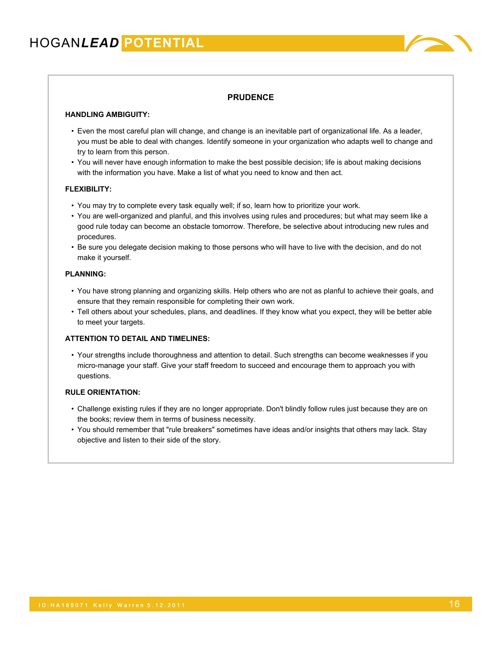

# **PRUDENCE**

#### **HANDLING AMBIGUITY:**

- Even the most careful plan will change, and change is an inevitable part of organizational life. As a leader, you must be able to deal with changes. Identify someone in your organization who adapts well to change and try to learn from this person.
- You will never have enough information to make the best possible decision; life is about making decisions with the information you have. Make a list of what you need to know and then act.

#### **FLEXIBILITY:**

- You may try to complete every task equally well; if so, learn how to prioritize your work.
- You are well-organized and planful, and this involves using rules and procedures; but what may seem like a good rule today can become an obstacle tomorrow. Therefore, be selective about introducing new rules and procedures.
- Be sure you delegate decision making to those persons who will have to live with the decision, and do not make it yourself.

#### **PLANNING:**

- You have strong planning and organizing skills. Help others who are not as planful to achieve their goals, and ensure that they remain responsible for completing their own work.
- Tell others about your schedules, plans, and deadlines. If they know what you expect, they will be better able to meet your targets.

#### **ATTENTION TO DETAIL AND TIMELINES:**

• Your strengths include thoroughness and attention to detail. Such strengths can become weaknesses if you micro-manage your staff. Give your staff freedom to succeed and encourage them to approach you with questions.

#### **RULE ORIENTATION:**

- Challenge existing rules if they are no longer appropriate. Don't blindly follow rules just because they are on the books; review them in terms of business necessity.
- You should remember that "rule breakers" sometimes have ideas and/or insights that others may lack. Stay objective and listen to their side of the story.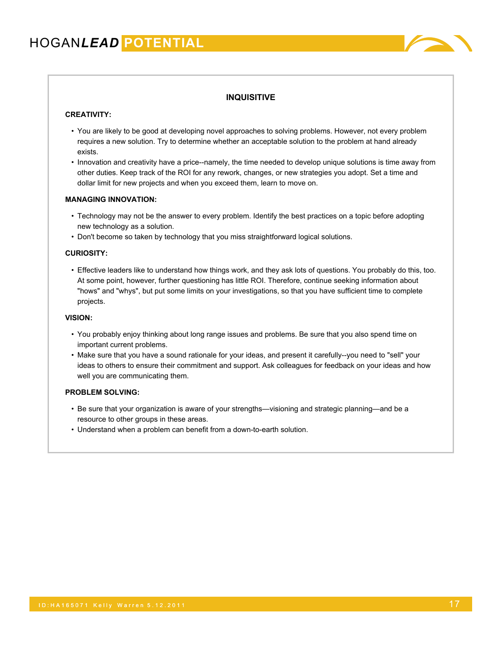

# **INQUISITIVE**

# **CREATIVITY:**

- You are likely to be good at developing novel approaches to solving problems. However, not every problem requires a new solution. Try to determine whether an acceptable solution to the problem at hand already exists.
- Innovation and creativity have a price--namely, the time needed to develop unique solutions is time away from other duties. Keep track of the ROI for any rework, changes, or new strategies you adopt. Set a time and dollar limit for new projects and when you exceed them, learn to move on.

#### **MANAGING INNOVATION:**

- Technology may not be the answer to every problem. Identify the best practices on a topic before adopting new technology as a solution.
- Don't become so taken by technology that you miss straightforward logical solutions.

#### **CURIOSITY:**

• Effective leaders like to understand how things work, and they ask lots of questions. You probably do this, too. At some point, however, further questioning has little ROI. Therefore, continue seeking information about "hows" and "whys", but put some limits on your investigations, so that you have sufficient time to complete projects.

#### **VISION:**

- You probably enjoy thinking about long range issues and problems. Be sure that you also spend time on important current problems.
- Make sure that you have a sound rationale for your ideas, and present it carefully--you need to "sell" your ideas to others to ensure their commitment and support. Ask colleagues for feedback on your ideas and how well you are communicating them.

#### **PROBLEM SOLVING:**

- Be sure that your organization is aware of your strengths—visioning and strategic planning—and be a resource to other groups in these areas.
- Understand when a problem can benefit from a down-to-earth solution.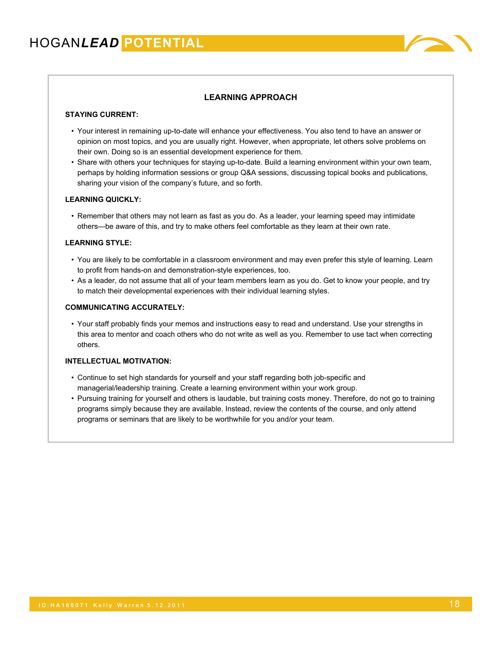

# **LEARNING APPROACH**

### **STAYING CURRENT:**

- Your interest in remaining up-to-date will enhance your effectiveness. You also tend to have an answer or opinion on most topics, and you are usually right. However, when appropriate, let others solve problems on their own. Doing so is an essential development experience for them.
- Share with others your techniques for staying up-to-date. Build a learning environment within your own team, perhaps by holding information sessions or group Q&A sessions, discussing topical books and publications, sharing your vision of the company's future, and so forth.

#### **LEARNING QUICKLY:**

• Remember that others may not learn as fast as you do. As a leader, your learning speed may intimidate others—be aware of this, and try to make others feel comfortable as they learn at their own rate.

#### **LEARNING STYLE:**

- You are likely to be comfortable in a classroom environment and may even prefer this style of learning. Learn to profit from hands-on and demonstration-style experiences, too.
- As a leader, do not assume that all of your team members learn as you do. Get to know your people, and try to match their developmental experiences with their individual learning styles.

#### **COMMUNICATING ACCURATELY:**

• Your staff probably finds your memos and instructions easy to read and understand. Use your strengths in this area to mentor and coach others who do not write as well as you. Remember to use tact when correcting others.

### **INTELLECTUAL MOTIVATION:**

- Continue to set high standards for yourself and your staff regarding both job-specific and managerial/leadership training. Create a learning environment within your work group.
- Pursuing training for yourself and others is laudable, but training costs money. Therefore, do not go to training programs simply because they are available. Instead, review the contents of the course, and only attend programs or seminars that are likely to be worthwhile for you and/or your team.